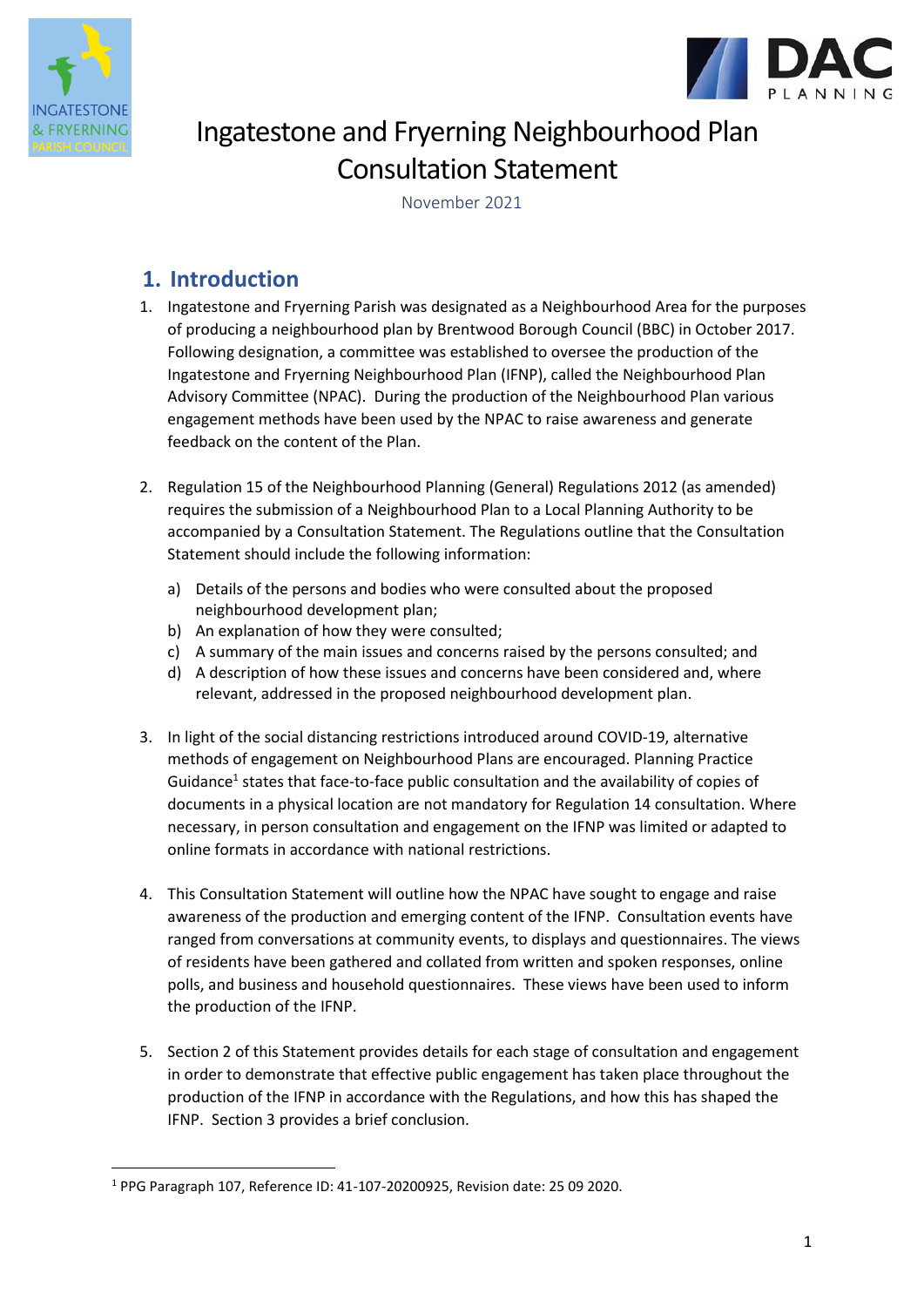



# Ingatestone and Fryerning Neighbourhood Plan Consultation Statement

November 2021

# **1. Introduction**

- 1. Ingatestone and Fryerning Parish was designated as a Neighbourhood Area for the purposes of producing a neighbourhood plan by Brentwood Borough Council (BBC) in October 2017. Following designation, a committee was established to oversee the production of the Ingatestone and Fryerning Neighbourhood Plan (IFNP), called the Neighbourhood Plan Advisory Committee (NPAC). During the production of the Neighbourhood Plan various engagement methods have been used by the NPAC to raise awareness and generate feedback on the content of the Plan.
- 2. Regulation 15 of the Neighbourhood Planning (General) Regulations 2012 (as amended) requires the submission of a Neighbourhood Plan to a Local Planning Authority to be accompanied by a Consultation Statement. The Regulations outline that the Consultation Statement should include the following information:
	- a) Details of the persons and bodies who were consulted about the proposed neighbourhood development plan;
	- b) An explanation of how they were consulted;
	- c) A summary of the main issues and concerns raised by the persons consulted; and
	- d) A description of how these issues and concerns have been considered and, where relevant, addressed in the proposed neighbourhood development plan.
- 3. In light of the social distancing restrictions introduced around COVID-19, alternative methods of engagement on Neighbourhood Plans are encouraged. Planning Practice Guidance<sup>1</sup> states that face-to-face public consultation and the availability of copies of documents in a physical location are not mandatory for Regulation 14 consultation. Where necessary, in person consultation and engagement on the IFNP was limited or adapted to online formats in accordance with national restrictions.
- 4. This Consultation Statement will outline how the NPAC have sought to engage and raise awareness of the production and emerging content of the IFNP. Consultation events have ranged from conversations at community events, to displays and questionnaires. The views of residents have been gathered and collated from written and spoken responses, online polls, and business and household questionnaires. These views have been used to inform the production of the IFNP.
- 5. Section 2 of this Statement provides details for each stage of consultation and engagement in order to demonstrate that effective public engagement has taken place throughout the production of the IFNP in accordance with the Regulations, and how this has shaped the IFNP. Section 3 provides a brief conclusion.

<sup>1</sup> PPG Paragraph 107, Reference ID: 41-107-20200925, Revision date: 25 09 2020.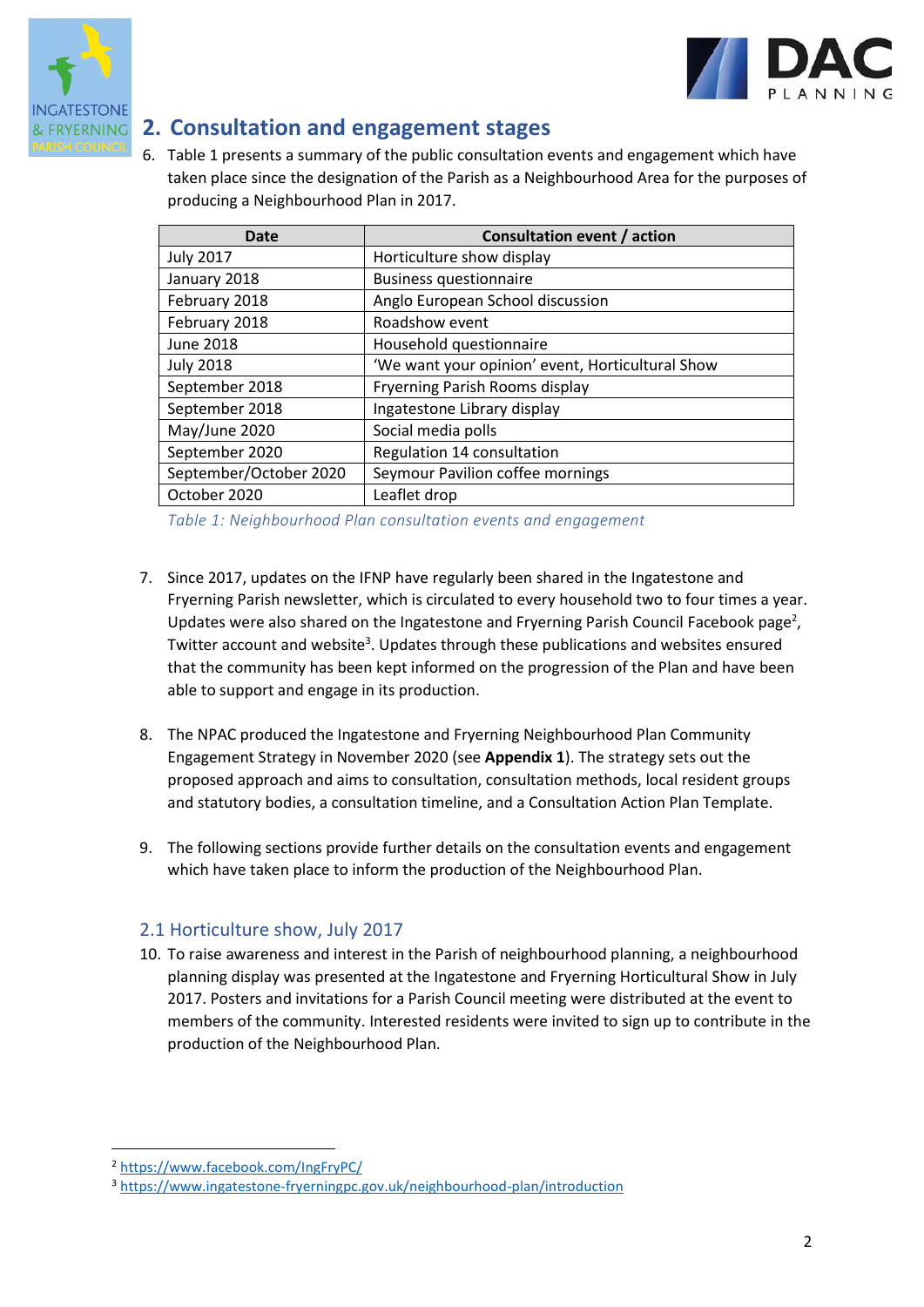



## **2. Consultation and engagement stages**

6. Table 1 presents a summary of the public consultation events and engagement which have taken place since the designation of the Parish as a Neighbourhood Area for the purposes of producing a Neighbourhood Plan in 2017.

| Date                   | Consultation event / action                      |
|------------------------|--------------------------------------------------|
| <b>July 2017</b>       | Horticulture show display                        |
| January 2018           | <b>Business questionnaire</b>                    |
| February 2018          | Anglo European School discussion                 |
| February 2018          | Roadshow event                                   |
| June 2018              | Household questionnaire                          |
| <b>July 2018</b>       | 'We want your opinion' event, Horticultural Show |
| September 2018         | Fryerning Parish Rooms display                   |
| September 2018         | Ingatestone Library display                      |
| May/June 2020          | Social media polls                               |
| September 2020         | Regulation 14 consultation                       |
| September/October 2020 | Seymour Pavilion coffee mornings                 |
| October 2020           | Leaflet drop                                     |

*Table 1: Neighbourhood Plan consultation events and engagement*

- 7. Since 2017, updates on the IFNP have regularly been shared in the Ingatestone and Fryerning Parish newsletter, which is circulated to every household two to four times a year. Updates were also shared on the Ingatestone and Fryerning Parish Council Facebook page<sup>2</sup>, Twitter account and website<sup>3</sup>. Updates through these publications and websites ensured that the community has been kept informed on the progression of the Plan and have been able to support and engage in its production.
- 8. The NPAC produced the Ingatestone and Fryerning Neighbourhood Plan Community Engagement Strategy in November 2020 (see **Appendix 1**). The strategy sets out the proposed approach and aims to consultation, consultation methods, local resident groups and statutory bodies, a consultation timeline, and a Consultation Action Plan Template.
- 9. The following sections provide further details on the consultation events and engagement which have taken place to inform the production of the Neighbourhood Plan.

#### 2.1 Horticulture show, July 2017

10. To raise awareness and interest in the Parish of neighbourhood planning, a neighbourhood planning display was presented at the Ingatestone and Fryerning Horticultural Show in July 2017. Posters and invitations for a Parish Council meeting were distributed at the event to members of the community. Interested residents were invited to sign up to contribute in the production of the Neighbourhood Plan.

<sup>2</sup> <https://www.facebook.com/IngFryPC/>

<sup>3</sup> <https://www.ingatestone-fryerningpc.gov.uk/neighbourhood-plan/introduction>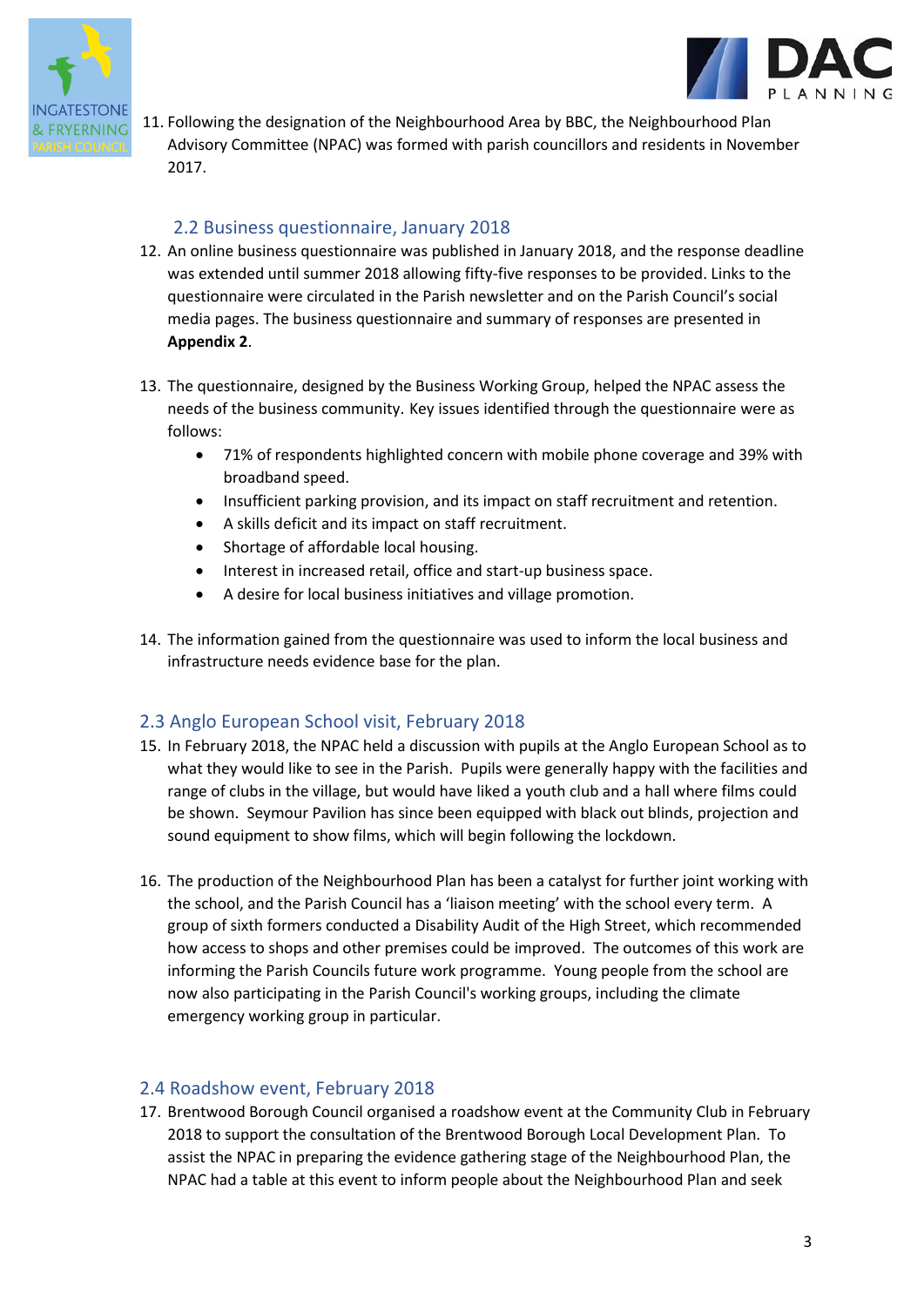



11. Following the designation of the Neighbourhood Area by BBC, the Neighbourhood Plan Advisory Committee (NPAC) was formed with parish councillors and residents in November 2017.

#### 2.2 Business questionnaire, January 2018

- 12. An online business questionnaire was published in January 2018, and the response deadline was extended until summer 2018 allowing fifty-five responses to be provided. Links to the questionnaire were circulated in the Parish newsletter and on the Parish Council's social media pages. The business questionnaire and summary of responses are presented in **Appendix 2**.
- 13. The questionnaire, designed by the Business Working Group, helped the NPAC assess the needs of the business community. Key issues identified through the questionnaire were as follows:
	- 71% of respondents highlighted concern with mobile phone coverage and 39% with broadband speed.
	- Insufficient parking provision, and its impact on staff recruitment and retention.
	- A skills deficit and its impact on staff recruitment.
	- Shortage of affordable local housing.
	- Interest in increased retail, office and start-up business space.
	- A desire for local business initiatives and village promotion.
- 14. The information gained from the questionnaire was used to inform the local business and infrastructure needs evidence base for the plan.

#### 2.3 Anglo European School visit, February 2018

- 15. In February 2018, the NPAC held a discussion with pupils at the Anglo European School as to what they would like to see in the Parish. Pupils were generally happy with the facilities and range of clubs in the village, but would have liked a youth club and a hall where films could be shown. Seymour Pavilion has since been equipped with black out blinds, projection and sound equipment to show films, which will begin following the lockdown.
- 16. The production of the Neighbourhood Plan has been a catalyst for further joint working with the school, and the Parish Council has a 'liaison meeting' with the school every term. A group of sixth formers conducted a Disability Audit of the High Street, which recommended how access to shops and other premises could be improved. The outcomes of this work are informing the Parish Councils future work programme. Young people from the school are now also participating in the Parish Council's working groups, including the climate emergency working group in particular.

#### 2.4 Roadshow event, February 2018

17. Brentwood Borough Council organised a roadshow event at the Community Club in February 2018 to support the consultation of the Brentwood Borough Local Development Plan. To assist the NPAC in preparing the evidence gathering stage of the Neighbourhood Plan, the NPAC had a table at this event to inform people about the Neighbourhood Plan and seek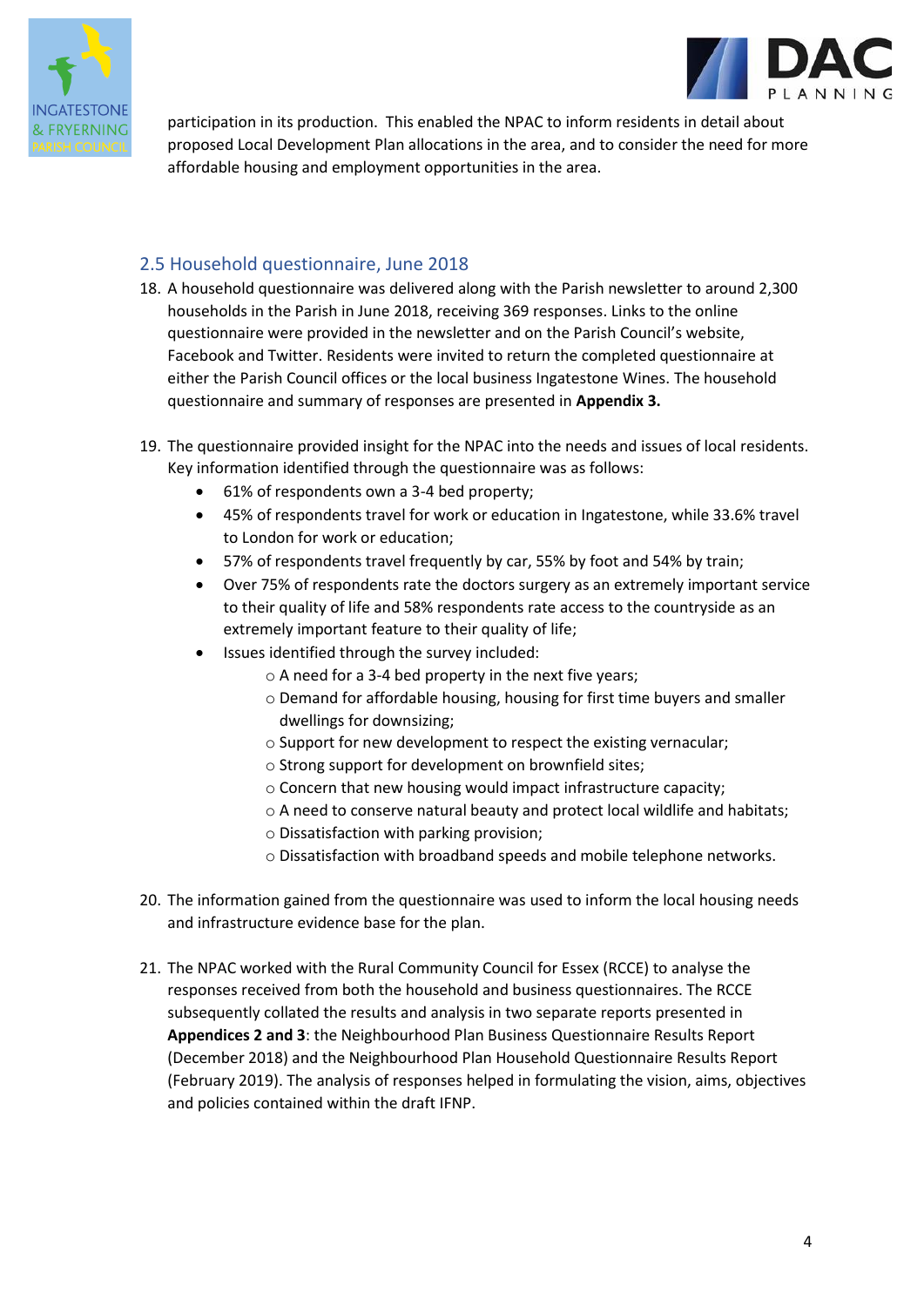



participation in its production. This enabled the NPAC to inform residents in detail about proposed Local Development Plan allocations in the area, and to consider the need for more affordable housing and employment opportunities in the area.

#### 2.5 Household questionnaire, June 2018

- 18. A household questionnaire was delivered along with the Parish newsletter to around 2,300 households in the Parish in June 2018, receiving 369 responses. Links to the online questionnaire were provided in the newsletter and on the Parish Council's website, Facebook and Twitter. Residents were invited to return the completed questionnaire at either the Parish Council offices or the local business Ingatestone Wines. The household questionnaire and summary of responses are presented in **Appendix 3.**
- 19. The questionnaire provided insight for the NPAC into the needs and issues of local residents. Key information identified through the questionnaire was as follows:
	- 61% of respondents own a 3-4 bed property;
	- 45% of respondents travel for work or education in Ingatestone, while 33.6% travel to London for work or education;
	- 57% of respondents travel frequently by car, 55% by foot and 54% by train;
	- Over 75% of respondents rate the doctors surgery as an extremely important service to their quality of life and 58% respondents rate access to the countryside as an extremely important feature to their quality of life;
	- Issues identified through the survey included:
		- o A need for a 3-4 bed property in the next five years;
		- o Demand for affordable housing, housing for first time buyers and smaller dwellings for downsizing;
		- o Support for new development to respect the existing vernacular;
		- o Strong support for development on brownfield sites;
		- o Concern that new housing would impact infrastructure capacity;
		- o A need to conserve natural beauty and protect local wildlife and habitats;
		- o Dissatisfaction with parking provision;
		- o Dissatisfaction with broadband speeds and mobile telephone networks.
- 20. The information gained from the questionnaire was used to inform the local housing needs and infrastructure evidence base for the plan.
- 21. The NPAC worked with the Rural Community Council for Essex (RCCE) to analyse the responses received from both the household and business questionnaires. The RCCE subsequently collated the results and analysis in two separate reports presented in **Appendices 2 and 3**: the Neighbourhood Plan Business Questionnaire Results Report (December 2018) and the Neighbourhood Plan Household Questionnaire Results Report (February 2019). The analysis of responses helped in formulating the vision, aims, objectives and policies contained within the draft IFNP.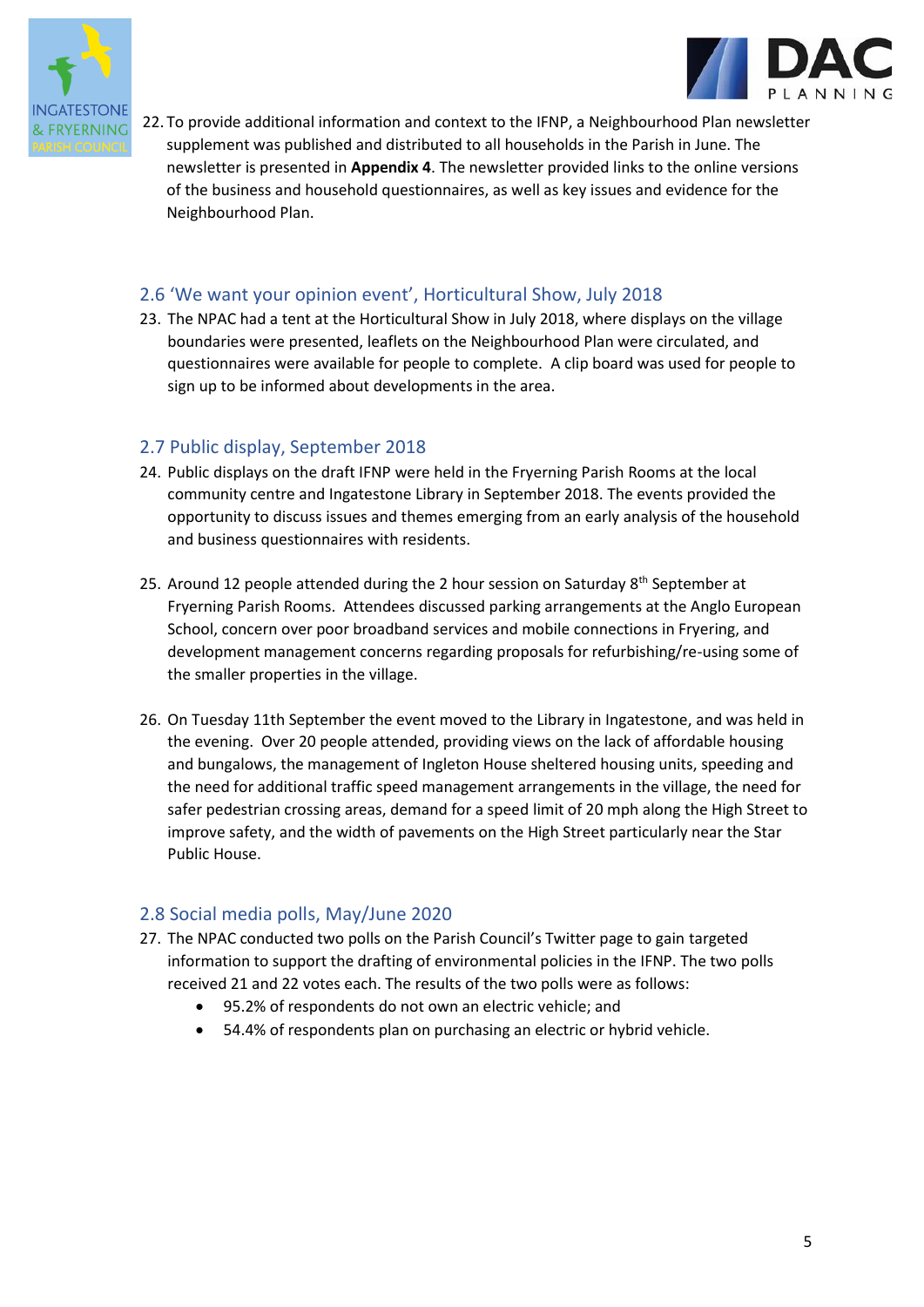



22. To provide additional information and context to the IFNP, a Neighbourhood Plan newsletter supplement was published and distributed to all households in the Parish in June. The newsletter is presented in **Appendix 4**. The newsletter provided links to the online versions of the business and household questionnaires, as well as key issues and evidence for the Neighbourhood Plan.

#### 2.6 'We want your opinion event', Horticultural Show, July 2018

23. The NPAC had a tent at the Horticultural Show in July 2018, where displays on the village boundaries were presented, leaflets on the Neighbourhood Plan were circulated, and questionnaires were available for people to complete. A clip board was used for people to sign up to be informed about developments in the area.

#### 2.7 Public display, September 2018

- 24. Public displays on the draft IFNP were held in the Fryerning Parish Rooms at the local community centre and Ingatestone Library in September 2018. The events provided the opportunity to discuss issues and themes emerging from an early analysis of the household and business questionnaires with residents.
- 25. Around 12 people attended during the 2 hour session on Saturday  $8<sup>th</sup>$  September at Fryerning Parish Rooms. Attendees discussed parking arrangements at the Anglo European School, concern over poor broadband services and mobile connections in Fryering, and development management concerns regarding proposals for refurbishing/re-using some of the smaller properties in the village.
- 26. On Tuesday 11th September the event moved to the Library in Ingatestone, and was held in the evening. Over 20 people attended, providing views on the lack of affordable housing and bungalows, the management of Ingleton House sheltered housing units, speeding and the need for additional traffic speed management arrangements in the village, the need for safer pedestrian crossing areas, demand for a speed limit of 20 mph along the High Street to improve safety, and the width of pavements on the High Street particularly near the Star Public House.

#### 2.8 Social media polls, May/June 2020

- 27. The NPAC conducted two polls on the Parish Council's Twitter page to gain targeted information to support the drafting of environmental policies in the IFNP. The two polls received 21 and 22 votes each. The results of the two polls were as follows:
	- 95.2% of respondents do not own an electric vehicle; and
	- 54.4% of respondents plan on purchasing an electric or hybrid vehicle.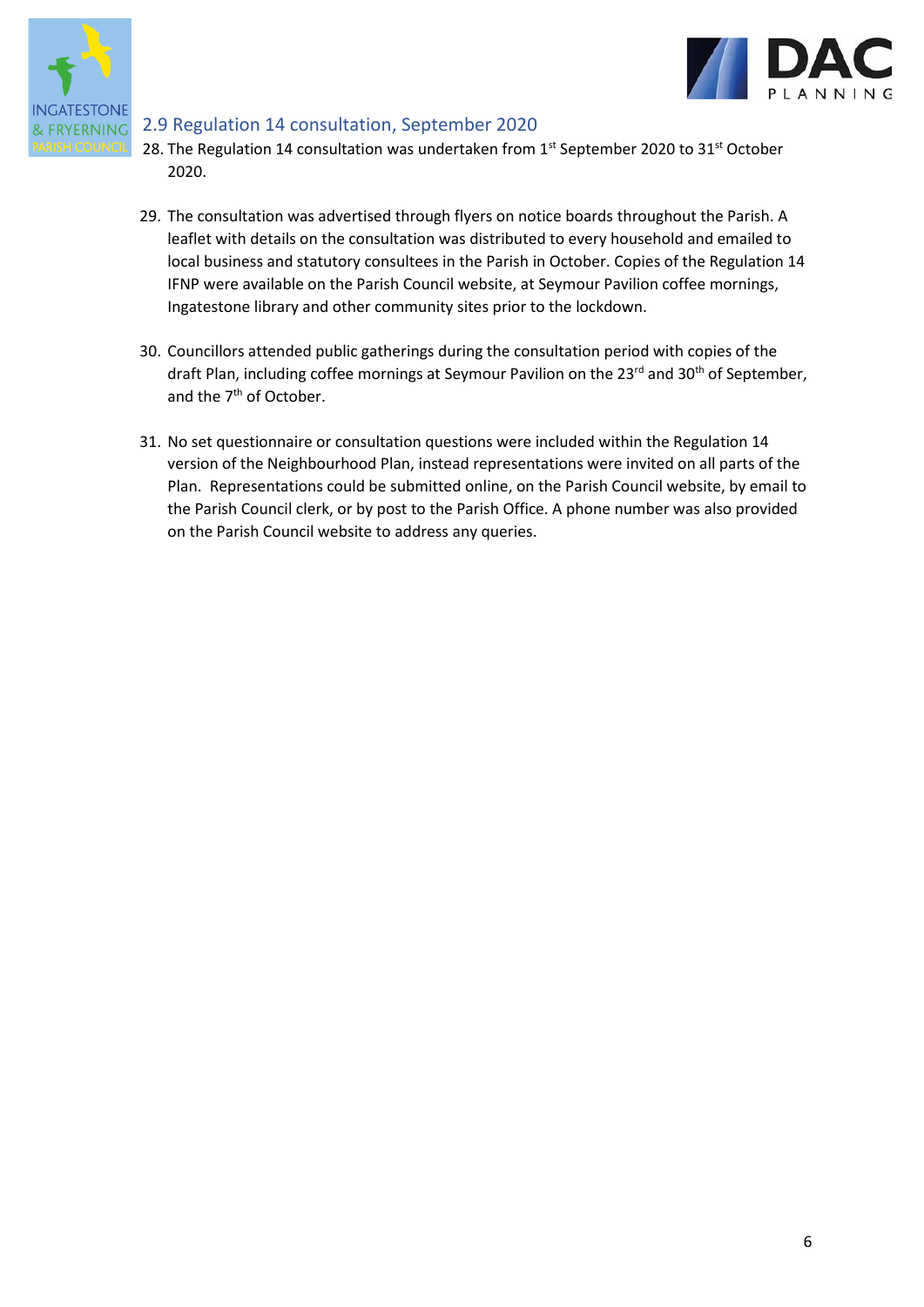



#### 2.9 Regulation 14 consultation, September 2020

- 28. The Regulation 14 consultation was undertaken from  $1<sup>st</sup>$  September 2020 to 31 $<sup>st</sup>$  October</sup> 2020.
- 29. The consultation was advertised through flyers on notice boards throughout the Parish. A leaflet with details on the consultation was distributed to every household and emailed to local business and statutory consultees in the Parish in October. Copies of the Regulation 14 IFNP were available on the Parish Council website, at Seymour Pavilion coffee mornings, Ingatestone library and other community sites prior to the lockdown.
- 30. Councillors attended public gatherings during the consultation period with copies of the draft Plan, including coffee mornings at Seymour Pavilion on the 23<sup>rd</sup> and 30<sup>th</sup> of September, and the 7<sup>th</sup> of October.
- 31. No set questionnaire or consultation questions were included within the Regulation 14 version of the Neighbourhood Plan, instead representations were invited on all parts of the Plan. Representations could be submitted online, on the Parish Council website, by email to the Parish Council clerk, or by post to the Parish Office. A phone number was also provided on the Parish Council website to address any queries.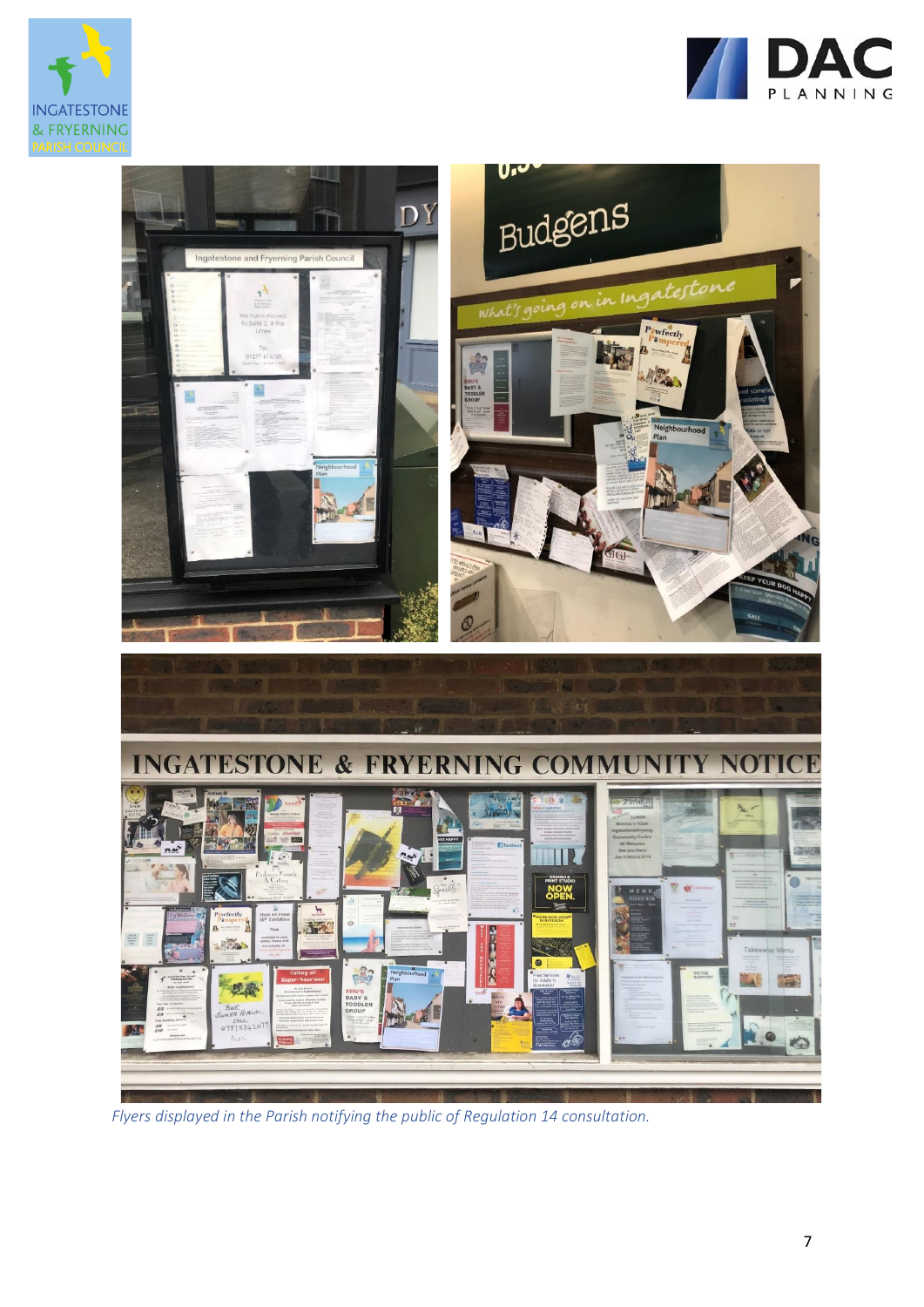





*Flyers displayed in the Parish notifying the public of Regulation 14 consultation.*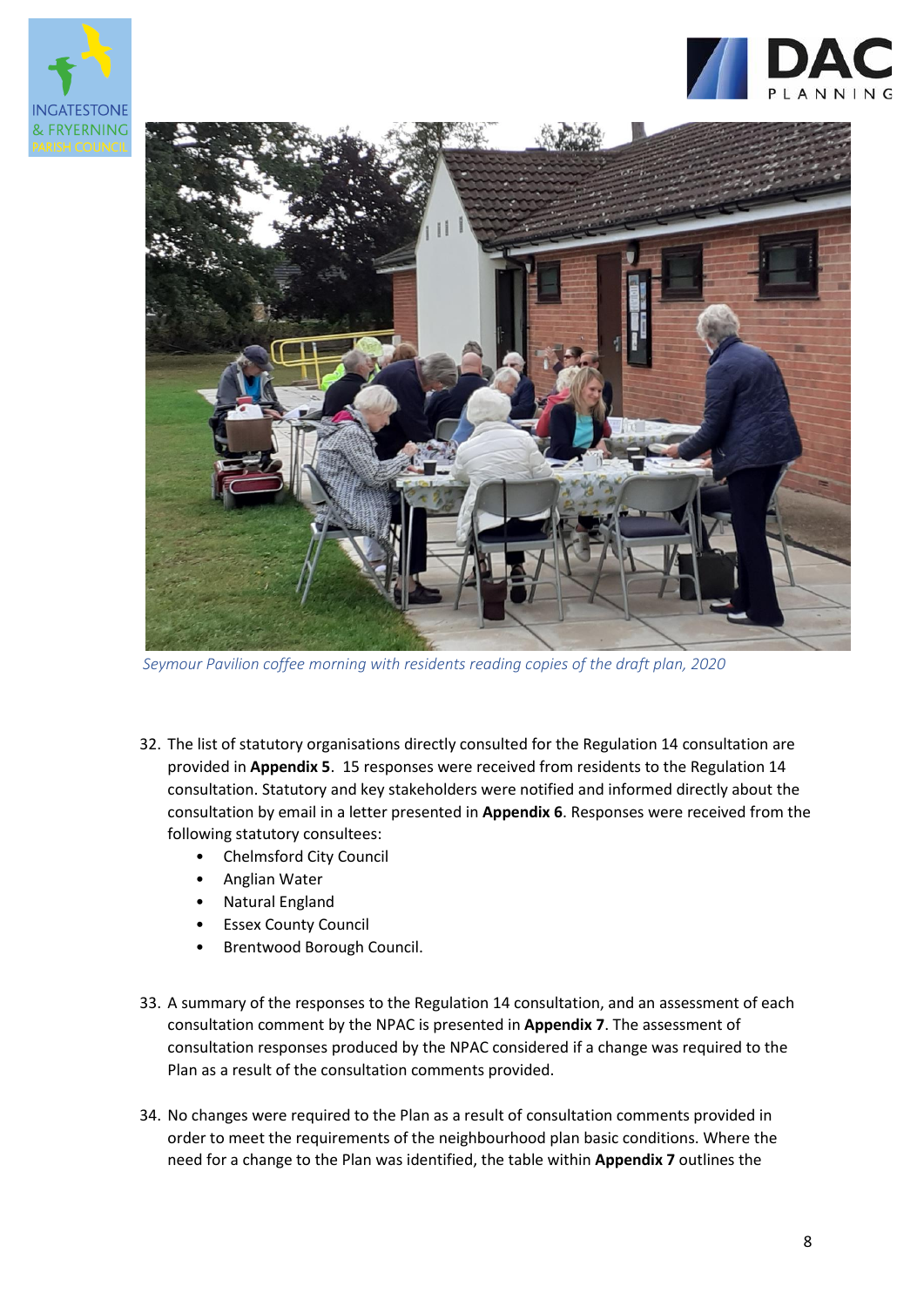





 *Seymour Pavilion coffee morning with residents reading copies of the draft plan, 2020*

- 32. The list of statutory organisations directly consulted for the Regulation 14 consultation are provided in **Appendix 5**. 15 responses were received from residents to the Regulation 14 consultation. Statutory and key stakeholders were notified and informed directly about the consultation by email in a letter presented in **Appendix 6**. Responses were received from the following statutory consultees:
	- Chelmsford City Council
	- Anglian Water
	- Natural England
	- **Essex County Council**
	- Brentwood Borough Council.
- 33. A summary of the responses to the Regulation 14 consultation, and an assessment of each consultation comment by the NPAC is presented in **Appendix 7**. The assessment of consultation responses produced by the NPAC considered if a change was required to the Plan as a result of the consultation comments provided.
- 34. No changes were required to the Plan as a result of consultation comments provided in order to meet the requirements of the neighbourhood plan basic conditions. Where the need for a change to the Plan was identified, the table within **Appendix 7** outlines the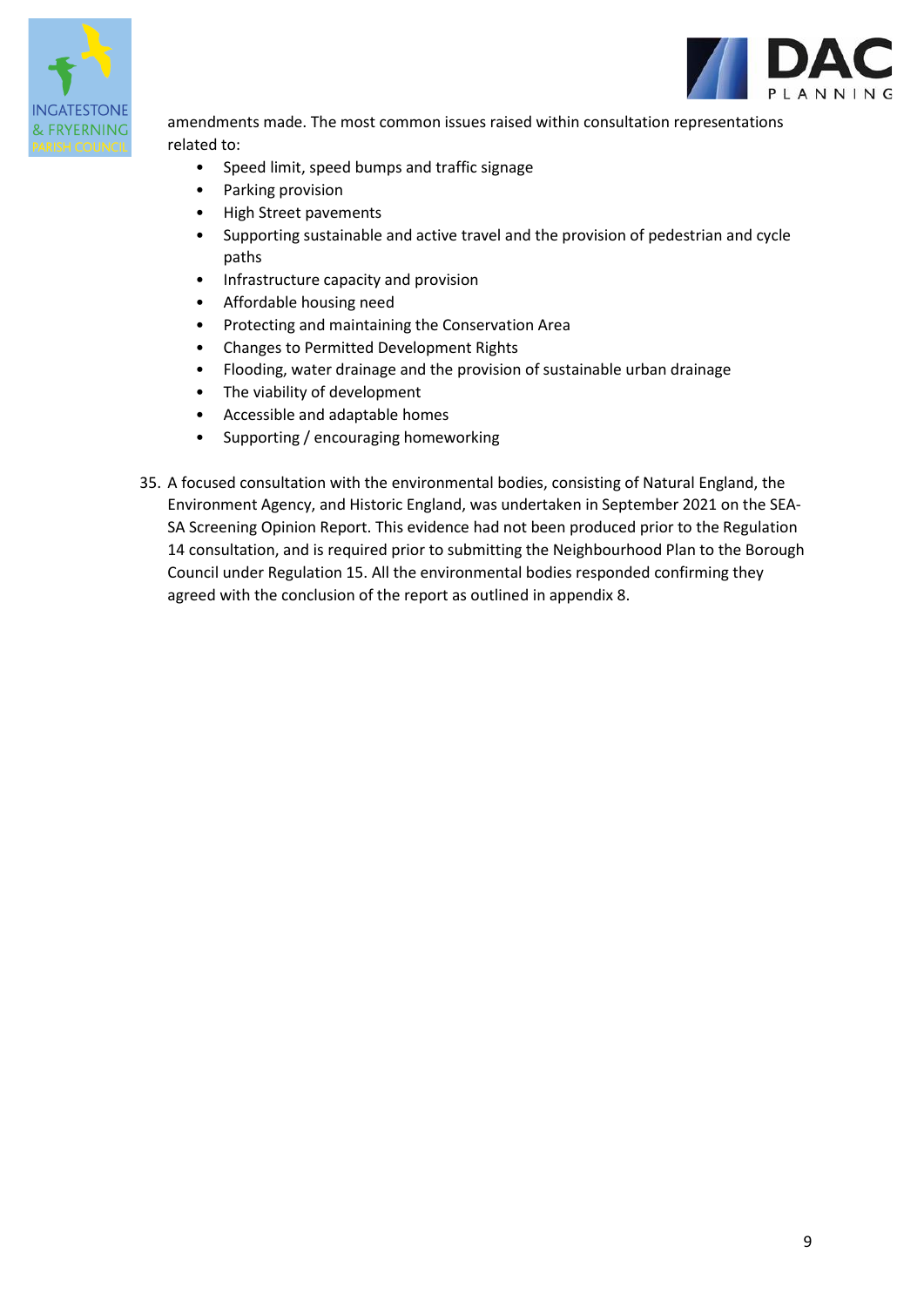

amendments made. The most common issues raised within consultation representations related to:

- Speed limit, speed bumps and traffic signage
- Parking provision
- High Street pavements
- Supporting sustainable and active travel and the provision of pedestrian and cycle paths
- Infrastructure capacity and provision
- Affordable housing need
- Protecting and maintaining the Conservation Area
- Changes to Permitted Development Rights
- Flooding, water drainage and the provision of sustainable urban drainage
- The viability of development
- Accessible and adaptable homes
- Supporting / encouraging homeworking
- 35. A focused consultation with the environmental bodies, consisting of Natural England, the Environment Agency, and Historic England, was undertaken in September 2021 on the SEA-SA Screening Opinion Report. This evidence had not been produced prior to the Regulation 14 consultation, and is required prior to submitting the Neighbourhood Plan to the Borough Council under Regulation 15. All the environmental bodies responded confirming they agreed with the conclusion of the report as outlined in appendix 8.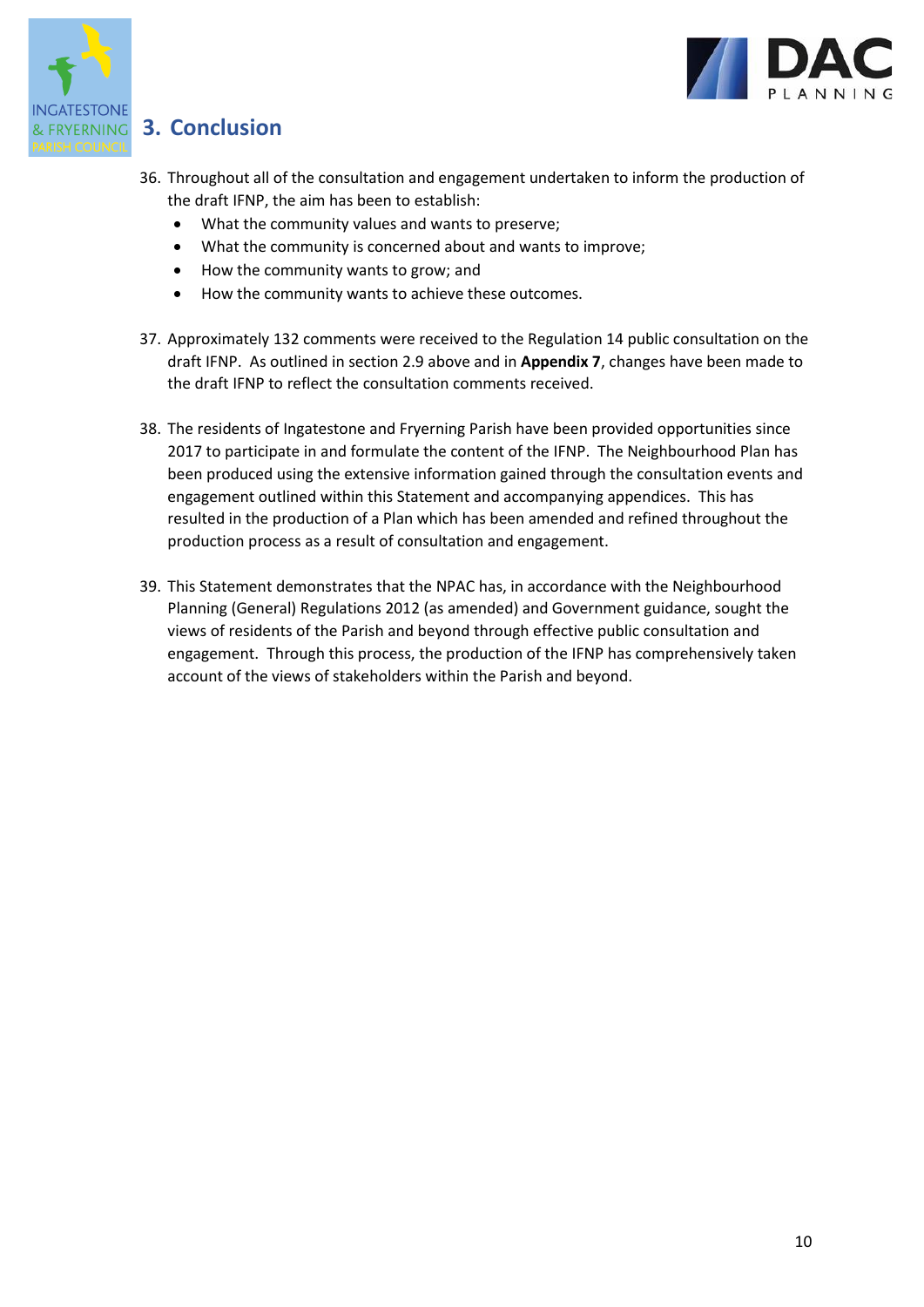



### **FRYERNING 3. Conclusion**

- 36. Throughout all of the consultation and engagement undertaken to inform the production of the draft IFNP, the aim has been to establish:
	- What the community values and wants to preserve;
	- What the community is concerned about and wants to improve;
	- How the community wants to grow; and
	- How the community wants to achieve these outcomes.
- 37. Approximately 132 comments were received to the Regulation 14 public consultation on the draft IFNP. As outlined in section 2.9 above and in **Appendix 7**, changes have been made to the draft IFNP to reflect the consultation comments received.
- 38. The residents of Ingatestone and Fryerning Parish have been provided opportunities since 2017 to participate in and formulate the content of the IFNP. The Neighbourhood Plan has been produced using the extensive information gained through the consultation events and engagement outlined within this Statement and accompanying appendices. This has resulted in the production of a Plan which has been amended and refined throughout the production process as a result of consultation and engagement.
- 39. This Statement demonstrates that the NPAC has, in accordance with the Neighbourhood Planning (General) Regulations 2012 (as amended) and Government guidance, sought the views of residents of the Parish and beyond through effective public consultation and engagement. Through this process, the production of the IFNP has comprehensively taken account of the views of stakeholders within the Parish and beyond.